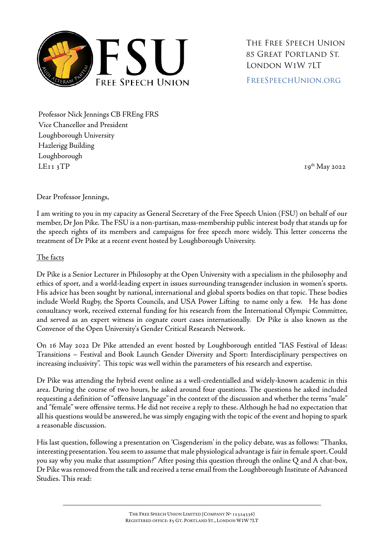

The Free Speech Union 85 Great Portland St. London W1W 7LT [FreeSpeechUnion.org](https://freespeechunion.org/)

Professor Nick Jennings CB FREng FRS Vice Chancellor and President Loughborough University Hazlerigg Building Loughborough  $LEII$  3TP  $I9<sup>th</sup>$  May 2022

Dear Professor Jennings,

I am writing to you in my capacity as General Secretary of the Free Speech Union (FSU) on behalf of our member, Dr Jon Pike. The FSU is a non-partisan, mass-membership public interest body that stands up for the speech rights of its members and campaigns for free speech more widely. This letter concerns the treatment of Dr Pike at a recent event hosted by Loughborough University.

### The facts

Dr Pike is a Senior Lecturer in Philosophy at the Open University with a specialism in the philosophy and ethics of sport, and a world-leading expert in issues surrounding transgender inclusion in women's sports. His advice has been sought by national, international and global sports bodies on that topic. These bodies include World Rugby, the Sports Councils, and USA Power Lifting to name only a few. He has done consultancy work, received external funding for his research from the International Olympic Committee, and served as an expert witness in cognate court cases internationally. Dr Pike is also known as the Convenor of the Open University's Gender Critical Research Network.

On 16 May 2022 Dr Pike attended an event hosted by Loughborough entitled "IAS Festival of Ideas: Transitions – Festival and Book Launch Gender Diversity and Sport: Interdisciplinary perspectives on increasing inclusivity". This topic was well within the parameters of his research and expertise.

Dr Pike was attending the hybrid event online as a well-credentialled and widely-known academic in this area. During the course of two hours, he asked around four questions. The questions he asked included requesting a definition of "offensive language" in the context of the discussion and whether the terms "male" and "female" were offensive terms. He did not receive a reply to these. Although he had no expectation that all his questions would be answered, he was simply engaging with the topic of the event and hoping to spark a reasonable discussion.

His last question, following a presentation on 'Cisgenderism' in the policy debate, was as follows: "Thanks, interesting presentation. You seem to assume that male physiological advantage is fair in female sport. Could you say why you make that assumption?" After posing this question through the online Q and A chat-box, Dr Pike was removed from the talk and received a terse email from the Loughborough Institute of Advanced Studies. This read: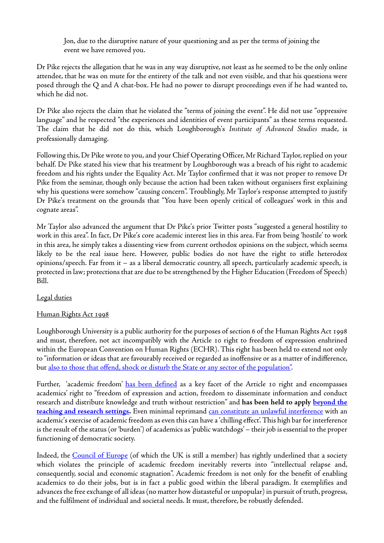Jon, due to the disruptive nature of your questioning and as per the terms of joining the event we have removed you.

Dr Pike rejects the allegation that he was in any way disruptive, not least as he seemed to be the only online attendee, that he was on mute for the entirety of the talk and not even visible, and that his questions were posed through the Q and A chat-box. He had no power to disrupt proceedings even if he had wanted to, which he did not.

Dr Pike also rejects the claim that he violated the "terms of joining the event". He did not use "oppressive language" and he respected "the experiences and identities of event participants" as these terms requested. The claim that he did not do this, which Loughborough's *Institute of Advanced Studies* made, is professionally damaging.

Following this, Dr Pike wrote to you, and your Chief Operating Officer, Mr Richard Taylor, replied on your behalf. Dr Pike stated his view that his treatment by Loughborough was a breach of his right to academic freedom and his rights under the Equality Act. Mr Taylor confirmed that it was not proper to remove Dr Pike from the seminar, though only because the action had been taken without organisers first explaining why his questions were somehow "causing concern". Troublingly, Mr Taylor's response attempted to justify Dr Pike's treatment on the grounds that "You have been openly critical of colleagues' work in this and cognate areas".

Mr Taylor also advanced the argument that Dr Pike's prior Twitter posts "suggested a general hostility to work in this area". In fact, Dr Pike's core academic interest lies in this area. Far from being 'hostile' to work in this area, he simply takes a dissenting view from current orthodox opinions on the subject, which seems likely to be the real issue here. However, public bodies do not have the right to stifle heterodox opinions/speech. Far from it – as a liberal democratic country, all speech, particularly academic speech, is protected in law; protections that are due to be strengthened by the Higher Education (Freedom of Speech) Bill.

## Legal duties

## Human Rights Act 1998

Loughborough University is a public authority for the purposes of section 6 of the Human Rights Act 1998 and must, therefore, not act incompatibly with the Article 10 right to freedom of expression enshrined within the European Convention on Human Rights (ECHR). This right has been held to extend not only to "information or ideas that are favourably received or regarded as inoffensive or as a matter of indifference, but also to those that offend, shock or disturb the State or any sector of the population".

Further, 'academic freedom' [has been defined](https://assembly.coe.int/nw/xml/XRef/Xref-XML2HTML-en.asp?fileid=17469&lang=en) as a key facet of the Article 10 right and encompasses academics' right to "freedom of expression and action, freedom to disseminate information and conduct research and distribute knowledge and truth without restriction" and **has been held to apply [beyond the](https://hudoc.echr.coe.int/fre#%7B%22itemid%22:%5B%22001-144129%22%5D%7D)**  [teaching and research settings.](https://hudoc.echr.coe.int/fre#%7B%22itemid%22:%5B%22001-144129%22%5D%7D) Even minimal reprimand [can constitute an unlawful interference](https://laweuro.com/?p=7351) with an academic's exercise of academic freedom as even this can have a 'chilling effect'. This high bar for interference is the result of the status (or 'burden') of academics as 'public watchdogs' – their job is essential to the proper functioning of democratic society.

Indeed, the [Council of Europe](https://assembly.coe.int/nw/xml/XRef/Xref-XML2HTML-en.asp?fileid=17469&lang=en) (of which the UK is still a member) has rightly underlined that a society which violates the principle of academic freedom inevitably reverts into "intellectual relapse and, consequently, social and economic stagnation". Academic freedom is not only for the benefit of enabling academics to do their jobs, but is in fact a public good within the liberal paradigm. It exemplifies and advances the free exchange of all ideas (no matter how distasteful or unpopular) in pursuit of truth, progress, and the fulfilment of individual and societal needs. It must, therefore, be robustly defended.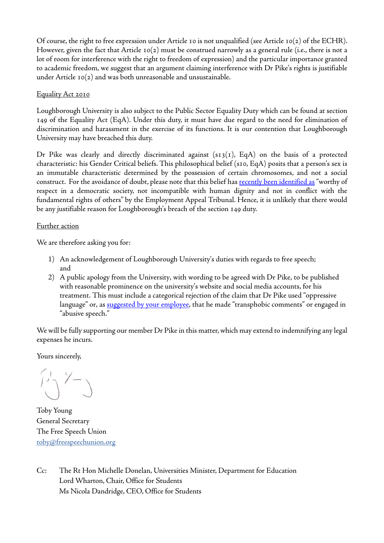Of course, the right to free expression under Article 10 is not unqualified (see Article 10(2) of the ECHR). However, given the fact that Article  $I_0(2)$  must be construed narrowly as a general rule (i.e., there is not a lot of room for interference with the right to freedom of expression) and the particular importance granted to academic freedom, we suggest that an argument claiming interference with Dr Pike's rights is justifiable under Article 10(2) and was both unreasonable and unsustainable.

## Equality Act 2010

Loughborough University is also subject to the Public Sector Equality Duty which can be found at section 149 of the Equality Act (EqA). Under this duty, it must have due regard to the need for elimination of discrimination and harassment in the exercise of its functions. It is our contention that Loughborough University may have breached this duty.

Dr Pike was clearly and directly discriminated against  $(s_1; (s_1; (s_1), E_qA)$  on the basis of a protected characteristic: his Gender Critical beliefs. This philosophical belief (s10, EqA) posits that a person's sex is an immutable characteristic determined by the possession of certain chromosomes, and not a social construct. For the avoidance of doubt, please note that this belief has [recently been identified as](https://assets.publishing.service.gov.uk/media/60c1cce1d3bf7f4bd9814e39/Maya_Forstater_v_CGD_Europe_and_others_UKEAT0105_20_JOJ.pdf) "worthy of respect in a democratic society, not incompatible with human dignity and not in conflict with the fundamental rights of others" by the Employment Appeal Tribunal. Hence, it is unlikely that there would be any justifiable reason for Loughborough's breach of the section 149 duty.

# Further action

We are therefore asking you for:

- 1) An acknowledgement of Loughborough University's duties with regards to free speech; and
- 2) A public apology from the University, with wording to be agreed with Dr Pike, to be published with reasonable prominence on the university's website and social media accounts, for his treatment. This must include a categorical rejection of the claim that Dr Pike used "oppressive language" or, as [suggested by your employee,](https://twitter.com/anastasia_ch90/status/1526210402614493184) that he made "transphobic comments" or engaged in "abusive speech."

We will be fully supporting our member Dr Pike in this matter, which may extend to indemnifying any legal expenses he incurs.

Yours sincerely,

 $\left(\frac{1}{2}\right)^{1/2}$ 

Toby Young General Secretary The Free Speech Union [toby@freespeechunion.org](mailto:toby@freespeechunion.org)

Cc: The Rt Hon Michelle Donelan, Universities Minister, Department for Education Lord Wharton, Chair, Office for Students Ms Nicola Dandridge, CEO, Office for Students